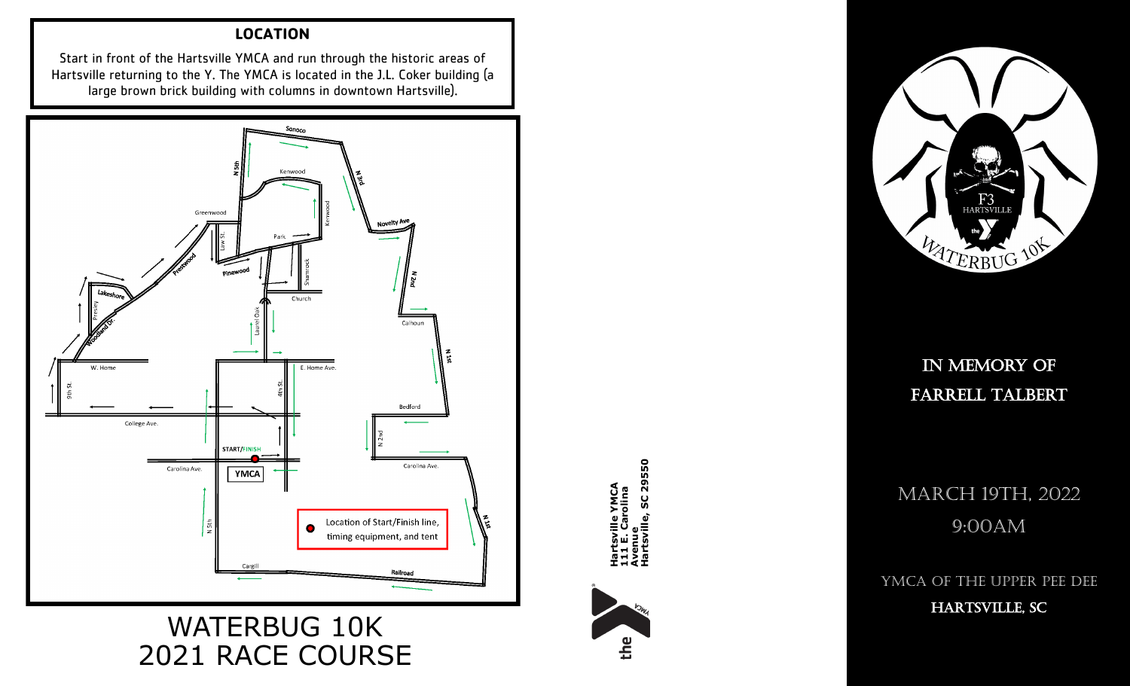### **LOCATION**

Start in front of the Hartsville YMCA and run through the historic areas of Hartsville returning to the Y. The YMCA is located in the J.L. Coker building (a large brown brick building with columns in downtown Hartsville).



# WATERBUG 10K 2021 RACE COURSE



**Hartsville YMCA 111 E. Carolina Hartsville YMCA<br>111 E. Carolina<br>Avenue<br>Hartsville, SC 29550** 



IN MEMORY OF Farrell Talbert

**IN MEM<br>
FARRELL<br>
SC 29500<br>
SC 29:00<br>
FARRCH 19:00<br>
FARRCH 19:00<br>
FARRCH 19:00** MARCH 19TH, 2022 9:00AM

YMCA of the Upper Pee Dee

HARTSVILLE, SC